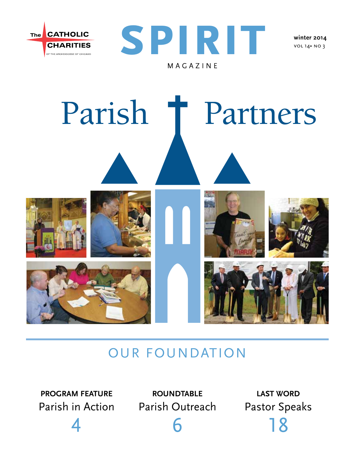



vol 14• no 3



## Our Foundation

**program feature**

4

Parish in Action Parish Outreach **roundtable**

6

**last word** Pastor Speaks 18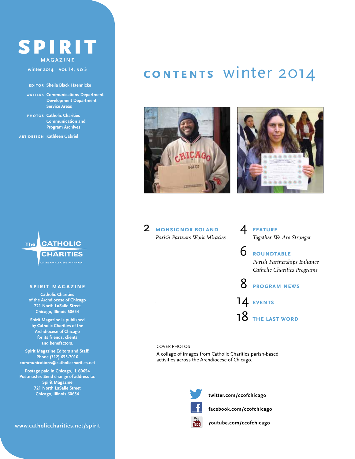## SPIRIT magazine

**winter 2014 vol 14, no 3**

#### **editor Sheila Black Haennicke**

**writers Communications Department Development Department Service Areas**

**photos Catholic Charities Communication and Program Archives**

**art design Kathleen Gabriel**



**CATHOLIC CHARITIES** 

#### **spirit magazine**

**Catholic Charities of the Archdiocese of Chicago 721 North LaSalle Street Chicago, Illinois 60654**

**Spirit Magazine is published by Catholic Charities of the Archdiocese of Chicago for its friends, clients and benefactors.**

**Spirit Magazine Editors and Staff: Phone (312) 655-7010 communications@catholiccharities.net**

**Postage paid in Chicago, IL 60654 Postmaster: Send change of address to: Spirit Magazine 721 North LaSalle Street Chicago, Illinois 60654**

**www.catholiccharities.net/spirit** 

## **contents** winter 2014





### 2 **monsignor boland** *Parish Partners Work Miracles*

### 4 **feature** *Together We Are Stronger*

6 **roundtable** *Parish Partnerships Enhance Catholic Charities Programs*

8 **program news** 14 **events** 18 **the last word**

#### COVER PHOTOS

.

A collage of images from Catholic Charities parish-based activities across the Archdiocese of Chicago.



**twitter.com/ccofchicago**

**facebook.com/ccofchicago** You<br>Tube

**youtube.com/ccofchicago**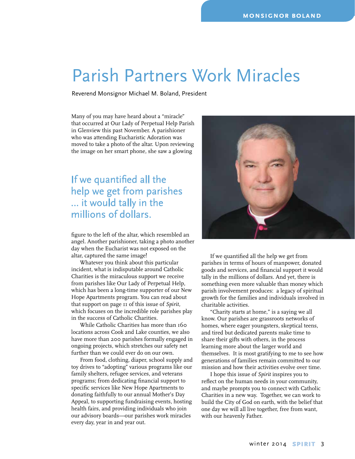# Parish Partners Work Miracles

Reverend Monsignor Michael M. Boland, President

Many of you may have heard about a "miracle" that occurred at Our Lady of Perpetual Help Parish in Glenview this past November. A parishioner who was attending Eucharistic Adoration was moved to take a photo of the altar. Upon reviewing the image on her smart phone, she saw a glowing

## If we quantified all the help we get from parishes … it would tally in the millions of dollars.

figure to the left of the altar, which resembled an angel. Another parishioner, taking a photo another day when the Eucharist was not exposed on the altar, captured the same image!

Whatever you think about this particular incident, what is indisputable around Catholic Charities is the miraculous support we receive from parishes like Our Lady of Perpetual Help, which has been a long-time supporter of our New Hope Apartments program. You can read about that support on page 11 of this issue of *Spirit,* which focuses on the incredible role parishes play in the success of Catholic Charities.

While Catholic Charities has more than 160 locations across Cook and Lake counties, we also have more than 200 parishes formally engaged in ongoing projects, which stretches our safety net further than we could ever do on our own.

From food, clothing, diaper, school supply and toy drives to "adopting" various programs like our family shelters, refugee services, and veterans programs; from dedicating financial support to specific services like New Hope Apartments to donating faithfully to our annual Mother's Day Appeal, to supporting fundraising events, hosting health fairs, and providing individuals who join our advisory boards—our parishes work miracles every day, year in and year out.



If we quantified all the help we get from parishes in terms of hours of manpower, donated goods and services, and financial support it would tally in the millions of dollars. And yet, there is something even more valuable than money which parish involvement produces: a legacy of spiritual growth for the families and individuals involved in charitable activities.

"Charity starts at home," is a saying we all know. Our parishes are grassroots networks of homes, where eager youngsters, skeptical teens, and tired but dedicated parents make time to share their gifts with others, in the process learning more about the larger world and themselves. It is most gratifying to me to see how generations of families remain committed to our mission and how their activities evolve over time.

I hope this issue of *Spirit* inspires you to reflect on the human needs in your community, and maybe prompts you to connect with Catholic Charities in a new way. Together, we can work to build the City of God on earth, with the belief that one day we will all live together, free from want, with our heavenly Father.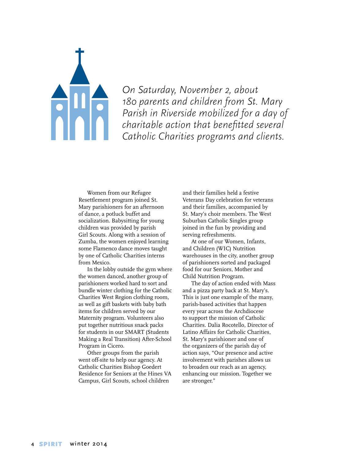

On Saturday, November 2, about<br>180 parents and children from St.<br>Parish in Riverside mobilized for a<br>charitable action that benefitted s *180 parents and children from St. Mary Parish in Riverside mobilized for a day of charitable action that benefitted several Catholic Charities programs and clients.*

> Women from our Refugee Resettlement program joined St. Mary parishioners for an afternoon of dance, a potluck buffet and socialization. Babysitting for young children was provided by parish Girl Scouts. Along with a session of Zumba, the women enjoyed learning some Flamenco dance moves taught by one of Catholic Charities interns from Mexico.

In the lobby outside the gym where the women danced, another group of parishioners worked hard to sort and bundle winter clothing for the Catholic Charities West Region clothing room, as well as gift baskets with baby bath items for children served by our Maternity program. Volunteers also put together nutritious snack packs for students in our SMART (Students Making a Real Transition) After-School Program in Cicero.

Other groups from the parish went off-site to help our agency. At Catholic Charities Bishop Goedert Residence for Seniors at the Hines VA Campus, Girl Scouts, school children

and their families held a festive Veterans Day celebration for veterans and their families, accompanied by St. Mary's choir members. The West Suburban Catholic Singles group joined in the fun by providing and serving refreshments.

At one of our Women, Infants, and Children (WIC) Nutrition warehouses in the city, another group of parishioners sorted and packaged food for our Seniors, Mother and Child Nutrition Program.

The day of action ended with Mass and a pizza party back at St. Mary's. This is just one example of the many, parish-based activities that happen every year across the Archdiocese to support the mission of Catholic Charities. Dalia Rocotello, Director of Latino Affairs for Catholic Charities, St. Mary's parishioner and one of the organizers of the parish day of action says, "Our presence and active involvement with parishes allows us to broaden our reach as an agency, enhancing our mission. Together we are stronger."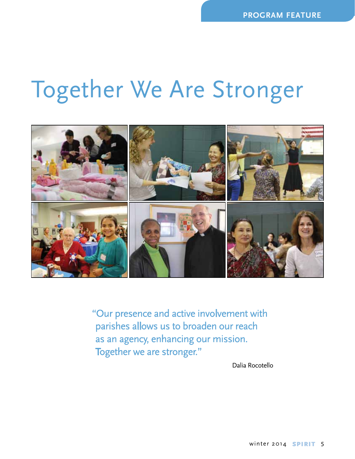# Together We Are Stronger



"Our presence and active involvement with parishes allows us to broaden our reach as an agency, enhancing our mission. Together we are stronger."

Dalia Rocotello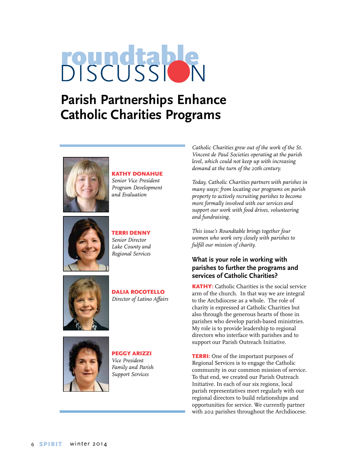# **BISCUSSION**

## **Parish Partnerships Enhance Catholic Charities Programs**



Kathy Donahue *Senior Vice President Program Development and Evaluation*



Terri Denny *Senior Director Lake County and Regional Services*



Dalia Rocotello *Director of Latino Affairs* 



Peggy Arizzi *Vice President Family and Parish Support Services*

*Catholic Charities grew out of the work of the St. Vincent de Paul Societies operating at the parish level, which could not keep up with increasing demand at the turn of the 20th century.* 

*Today, Catholic Charities partners with parishes in many ways: from locating our programs on parish property to actively recruiting parishes to become more formally involved with our services and support our work with food drives, volunteering and fundraising.* 

*This issue's Roundtable brings together four women who work very closely with parishes to fulfill our mission of charity.* 

### **What is your role in working with parishes to further the programs and services of Catholic Charities?**

KATHY: Catholic Charities is the social service arm of the church. In that way we are integral to the Archdiocese as a whole. The role of charity is expressed at Catholic Charities but also through the generous hearts of those in parishes who develop parish-based ministries. My role is to provide leadership to regional directors who interface with parishes and to support our Parish Outreach Initiative.

**TERRI:** One of the important purposes of Regional Services is to engage the Catholic community in our common mission of service. To that end, we created our Parish Outreach Initiative. In each of our six regions, local parish representatives meet regularly with our regional directors to build relationships and opportunities for service. We currently partner with 202 parishes throughout the Archdiocese.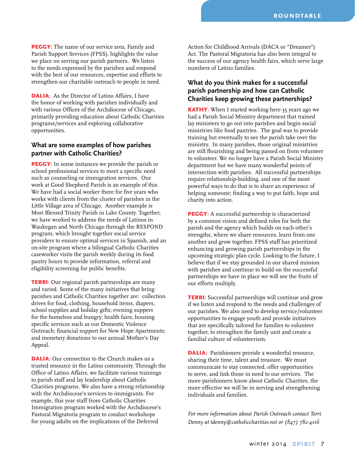PEGGY: The name of our service area, Family and Parish Support Services (FPSS), highlights the value we place on serving our parish partners. We listen to the needs expressed by the parishes and respond with the best of our resources, expertise and efforts to strengthen our charitable outreach to people in need.

DALIA: As the Director of Latino Affairs, I have the honor of working with parishes individually and with various Offices of the Archdiocese of Chicago, primarily providing education about Catholic Charities programs/services and exploring collaborative opportunities.

#### **What are some examples of how parishes partner with Catholic Charities?**

**PEGGY:** In some instances we provide the parish or school professional services to meet a specific need such as counseling or immigration services. Our work at Good Shepherd Parish is an example of this. We have had a social worker there for five years who works with clients from the cluster of parishes in the Little Village area of Chicago. Another example is Most Blessed Trinity Parish in Lake County. Together, we have worked to address the needs of Latinos in Waukegan and North Chicago through the RESPOND program, which brought together social service providers to ensure optimal services in Spanish, and an on-site program where a bilingual Catholic Charities caseworker visits the parish weekly during its food pantry hours to provide information, referral and eligibility screening for public benefits.

**TERRI:** Our regional parish partnerships are many and varied. Some of the many initiatives that bring parishes and Catholic Charities together are: collection drives for food, clothing, household items, diapers, school supplies and holiday gifts; evening suppers for the homeless and hungry; health fairs; housing specific services such as our Domestic Violence Outreach; financial support for New Hope Apartments; and monetary donations to our annual Mother's Day Appeal.

DALIA: Our connection to the Church makes us a trusted resource in the Latino community. Through the Office of Latino Affairs, we facilitate various trainings to parish staff and lay leadership about Catholic Charities programs. We also have a strong relationship with the Archdiocese's services to immigrants. For example, this year staff from Catholic Charities Immigration program worked with the Archdiocese's Pastoral Migratoria program to conduct workshops for young adults on the implications of the Deferred

Action for Childhood Arrivals (DACA or "Dreamer") Act. The Pastoral Migratoria has also been integral to the success of our agency health fairs, which serve large numbers of Latino families.

### **What do you think makes for a successful parish partnership and how can Catholic Charities keep growing these partnerships?**

**KATHY:** When I started working here 35 years ago we had a Parish Social Ministry department that trained lay ministers to go out into parishes and begin social ministries like food pantries. The goal was to provide training but eventually to see the parish take over the ministry. In many parishes, those original ministries are still flourishing and being passed on from volunteer to volunteer. We no longer have a Parish Social Ministry department but we have many wonderful points of intersection with parishes. All successful partnerships require relationship-building, and one of the most powerful ways to do that is to share an experience of helping someone; finding a way to put faith, hope and charity into action.

**PEGGY:** A successful partnership is characterized by a common vision and defined roles for both the parish and the agency which builds on each other's strengths, where we share resources, learn from one another and grow together. FPSS staff has prioritized enhancing and growing parish partnerships in the upcoming strategic plan cycle. Looking to the future, I believe that if we stay grounded in our shared mission with parishes and continue to build on the successful partnerships we have in place we will see the fruits of our efforts multiply.

**TERRI:** Successful partnerships will continue and grow if we listen and respond to the needs and challenges of our parishes. We also need to develop service/volunteer opportunities to engage youth and provide initiatives that are specifically tailored for families to volunteer together, to strengthen the family unit and create a familial culture of volunteerism.

**DALIA:** Parishioners provide a wonderful resource, sharing their time, talent and treasure. We must communicate to stay connected, offer opportunities to serve, and link those in need to our services. The more parishioners know about Catholic Charities, the more effective we will be in serving and strengthening individuals and families.

*For more information about Parish Outreach contact Terri Denny at tdenny@catholiccharities.net or (847) 782-4116*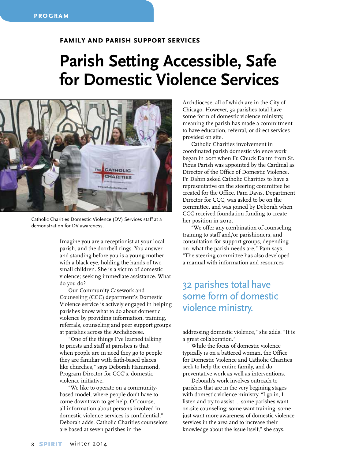#### **family and parish support services**

# **Parish Setting Accessible, Safe for Domestic Violence Services**



Catholic Charities Domestic Violence (DV) Services staff at a demonstration for DV awareness.

Imagine you are a receptionist at your local parish, and the doorbell rings. You answer and standing before you is a young mother with a black eye, holding the hands of two small children. She is a victim of domestic violence; seeking immediate assistance. What do you do?

Our Community Casework and Counseling (CCC) department's Domestic Violence service is actively engaged in helping parishes know what to do about domestic violence by providing information, training, referrals, counseling and peer support groups at parishes across the Archdiocese.

"One of the things I've learned talking to priests and staff at parishes is that when people are in need they go to people they are familiar with faith-based places like churches," says Deborah Hammond, Program Director for CCC's, domestic violence initiative.

"We like to operate on a communitybased model, where people don't have to come downtown to get help. Of course, all information about persons involved in domestic violence services is confidential," Deborah adds. Catholic Charities counselors are based at seven parishes in the

Archdiocese, all of which are in the City of Chicago. However, 32 parishes total have some form of domestic violence ministry, meaning the parish has made a commitment to have education, referral, or direct services provided on site.

Catholic Charities involvement in coordinated parish domestic violence work began in 2011 when Fr. Chuck Dahm from St. Pious Parish was appointed by the Cardinal as Director of the Office of Domestic Violence. Fr. Dahm asked Catholic Charities to have a representative on the steering committee he created for the Office. Pam Davis, Department Director for CCC, was asked to be on the committee, and was joined by Deborah when CCC received foundation funding to create her position in 2012.

"We offer any combination of counseling, training to staff and/or parishioners, and consultation for support groups, depending on what the parish needs are," Pam says. "The steering committee has also developed a manual with information and resources

## 32 parishes total have some form of domestic violence ministry.

addressing domestic violence," she adds. "It is a great collaboration."

While the focus of domestic violence typically is on a battered woman, the Office for Domestic Violence and Catholic Charities seek to help the entire family, and do preventative work as well as interventions.

Deborah's work involves outreach to parishes that are in the very begining stages with domestic violence ministry. "I go in, I listen and try to assist … some parishes want on-site counseling; some want training, some just want more awareness of domestic violence services in the area and to increase their knowledge about the issue itself," she says.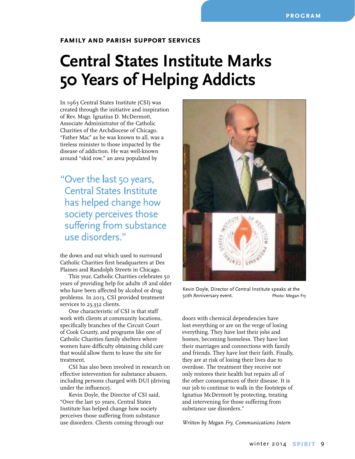#### **family and parish support services**

# **Central States Institute Marks 50 Years of Helping Addicts**

In 1963 Central States Institute (CSI) was created through the initiative and inspiration of Rev. Msgr. Ignatius D. McDermott, Associate Administrator of the Catholic Charities of the Archdiocese of Chicago. "Father Mac" as he was known to all, was a tireless minister to those impacted by the disease of addiction. He was well-known around "skid row," an area populated by

"Over the last 50 years, Central States Institute has helped change how society perceives those suffering from substance use disorders."

the down and out which used to surround Catholic Charities first headquarters at Des Plaines and Randolph Streets in Chicago.

This year, Catholic Charities celebrates 50 years of providing help for adults 18 and older who have been affected by alcohol or drug problems. In 2013, CSI provided treatment services to 23,332 clients.

One characteristic of CSI is that staff work with clients at community locations, specifically branches of the Circuit Court of Cook County, and programs like one of Catholic Charities family shelters where women have difficulty obtaining child care that would allow them to leave the site for treatment.

CSI has also been involved in research on effective intervention for substance abusers, including persons charged with DUI (driving under the influence).

Kevin Doyle, the Director of CSI said, "Over the last 50 years, Central States Institute has helped change how society perceives those suffering from substance use disorders. Clients coming through our



Kevin Doyle, Director of Central Institute speaks at the 50th Anniversary event. The Photo: Megan Fry

doors with chemical dependencies have lost everything or are on the verge of losing everything. They have lost their jobs and homes, becoming homeless. They have lost their marriages and connections with family and friends. They have lost their faith. Finally, they are at risk of losing their lives due to overdose. The treatment they receive not only restores their health but repairs all of the other consequences of their disease. It is our job to continue to walk in the footsteps of Ignatius McDermott by protecting, treating and intervening for those suffering from substance use disorders."

*Written by Megan Fry, Communications Intern*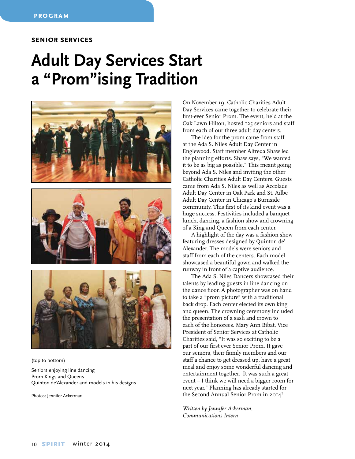#### **senior services**

# **Adult Day Services Start a "Prom"ising Tradition**



(top to bottom)

Seniors enjoying line dancing Prom Kings and Queens Quinton de'Alexander and models in his designs

Photos: Jennifer Ackerman

On November 19, Catholic Charities Adult Day Services came together to celebrate their first-ever Senior Prom. The event, held at the Oak Lawn Hilton, hosted 125 seniors and staff from each of our three adult day centers.

The idea for the prom came from staff at the Ada S. Niles Adult Day Center in Englewood. Staff member Alfreda Shaw led the planning efforts. Shaw says, "We wanted it to be as big as possible." This meant going beyond Ada S. Niles and inviting the other Catholic Charities Adult Day Centers. Guests came from Ada S. Niles as well as Accolade Adult Day Center in Oak Park and St. Ailbe Adult Day Center in Chicago's Burnside community. This first of its kind event was a huge success. Festivities included a banquet lunch, dancing, a fashion show and crowning of a King and Queen from each center.

A highlight of the day was a fashion show featuring dresses designed by Quinton de' Alexander. The models were seniors and staff from each of the centers. Each model showcased a beautiful gown and walked the runway in front of a captive audience.

The Ada S. Niles Dancers showcased their talents by leading guests in line dancing on the dance floor. A photographer was on hand to take a "prom picture" with a traditional back drop. Each center elected its own king and queen. The crowning ceremony included the presentation of a sash and crown to each of the honorees. Mary Ann Bibat, Vice President of Senior Services at Catholic Charities said, "It was so exciting to be a part of our first ever Senior Prom. It gave our seniors, their family members and our staff a chance to get dressed up, have a great meal and enjoy some wonderful dancing and entertainment together. It was such a great event – I think we will need a bigger room for next year." Planning has already started for the Second Annual Senior Prom in 2014!

*Written by Jennifer Ackerman, Communications Intern*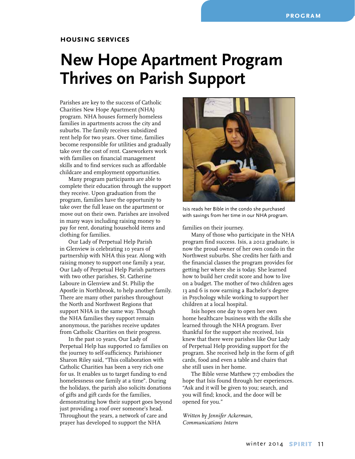## **New Hope Apartment Program Thrives on Parish Support**

Parishes are key to the success of Catholic Charities New Hope Apartment (NHA) program. NHA houses formerly homeless families in apartments across the city and suburbs. The family receives subsidized rent help for two years. Over time, families become responsible for utilities and gradually take over the cost of rent. Caseworkers work with families on financial management skills and to find services such as affordable childcare and employment opportunities.

Many program participants are able to complete their education through the support they receive. Upon graduation from the program, families have the opportunity to take over the full lease on the apartment or move out on their own. Parishes are involved in many ways including raising money to pay for rent, donating household items and clothing for families.

Our Lady of Perpetual Help Parish in Glenview is celebrating 10 years of partnership with NHA this year. Along with raising money to support one family a year, Our Lady of Perpetual Help Parish partners with two other parishes, St. Catherine Laboure in Glenview and St. Philip the Apostle in Northbrook, to help another family. There are many other parishes throughout the North and Northwest Regions that support NHA in the same way. Though the NHA families they support remain anonymous, the parishes receive updates from Catholic Charities on their progress.

In the past 10 years, Our Lady of Perpetual Help has supported 10 families on the journey to self-sufficiency. Parishioner Sharon Riley said, "This collaboration with Catholic Charities has been a very rich one for us. It enables us to target funding to end homelessness one family at a time". During the holidays, the parish also solicits donations of gifts and gift cards for the families, demonstrating how their support goes beyond just providing a roof over someone's head. Throughout the years, a network of care and prayer has developed to support the NHA



Isis reads her Bible in the condo she purchased with savings from her time in our NHA program.

#### families on their journey.

Many of those who participate in the NHA program find success. Isis, a 2012 graduate, is now the proud owner of her own condo in the Northwest suburbs. She credits her faith and the financial classes the program provides for getting her where she is today. She learned how to build her credit score and how to live on a budget. The mother of two children ages 13 and 6 is now earning a Bachelor's degree in Psychology while working to support her children at a local hospital.

Isis hopes one day to open her own home healthcare business with the skills she learned through the NHA program. Ever thankful for the support she received, Isis knew that there were parishes like Our Lady of Perpetual Help providing support for the program. She received help in the form of gift cards, food and even a table and chairs that she still uses in her home.

The Bible verse Matthew 7:7 embodies the hope that Isis found through her experiences. "Ask and it will be given to you; search, and you will find; knock, and the door will be opened for you."

*Written by Jennifer Ackerman, Communications Intern*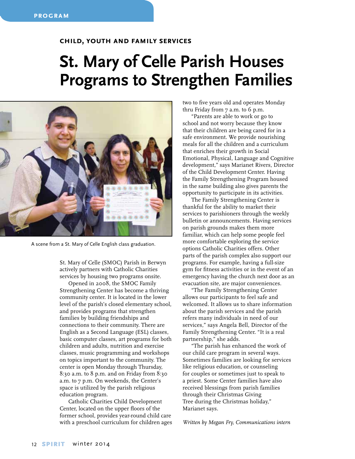#### **child, youth and family services**

# **St. Mary of Celle Parish Houses Programs to Strengthen Families**



A scene from a St. Mary of Celle English class graduation.

St. Mary of Celle (SMOC) Parish in Berwyn actively partners with Catholic Charities services by housing two programs onsite.

Opened in 2008, the SMOC Family Strengthening Center has become a thriving community center. It is located in the lower level of the parish's closed elementary school, and provides programs that strengthen families by building friendships and connections to their community. There are English as a Second Language (ESL) classes, basic computer classes, art programs for both children and adults, nutrition and exercise classes, music programming and workshops on topics important to the community. The center is open Monday through Thursday, 8:30 a.m. to 8 p.m. and on Friday from 8:30 a.m. to 7 p.m. On weekends, the Center's space is utilized by the parish religious education program.

Catholic Charities Child Development Center, located on the upper floors of the former school, provides year-round child care with a preschool curriculum for children ages two to five years old and operates Monday thru Friday from 7 a.m. to 6 p.m.

"Parents are able to work or go to school and not worry because they know that their children are being cared for in a safe environment. We provide nourishing meals for all the children and a curriculum that enriches their growth in Social Emotional, Physical, Language and Cognitive development," says Marianet Rivers, Director of the Child Development Center. Having the Family Strengthening Program housed in the same building also gives parents the opportunity to participate in its activities.

The Family Strengthening Center is thankful for the ability to market their services to parishioners through the weekly bulletin or announcements. Having services on parish grounds makes them more familiar, which can help some people feel more comfortable exploring the service options Catholic Charities offers. Other parts of the parish complex also support our programs. For example, having a full-size gym for fitness activities or in the event of an emergency having the church next door as an evacuation site, are major conveniences.

"The Family Strengthening Center allows our participants to feel safe and welcomed. It allows us to share information about the parish services and the parish refers many individuals in need of our services," says Angela Bell, Director of the Family Strengthening Center. "It is a real partnership," she adds.

"The parish has enhanced the work of our child care program in several ways. Sometimes families are looking for services like religious education, or counseling for couples or sometimes just to speak to a priest. Some Center families have also received blessings from parish families through their Christmas Giving Tree during the Christmas holiday," Marianet says.

*Written by Megan Fry, Communications intern*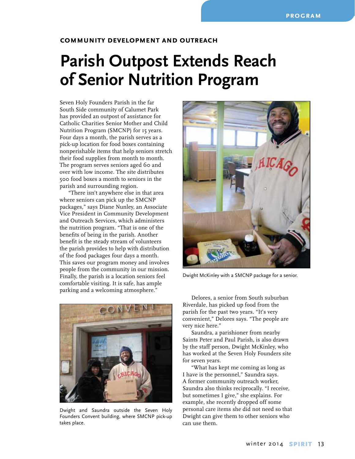#### **community development and outreach**

# **Parish Outpost Extends Reach of Senior Nutrition Program**

Seven Holy Founders Parish in the far South Side community of Calumet Park has provided an outpost of assistance for Catholic Charities Senior Mother and Child Nutrition Program (SMCNP) for 15 years. Four days a month, the parish serves as a pick-up location for food boxes containing nonperishable items that help seniors stretch their food supplies from month to month. The program serves seniors aged 60 and over with low income. The site distributes 500 food boxes a month to seniors in the parish and surrounding region.

"There isn't anywhere else in that area where seniors can pick up the SMCNP packages," says Diane Nunley, an Associate Vice President in Community Development and Outreach Services, which administers the nutrition program. "That is one of the benefits of being in the parish. Another benefit is the steady stream of volunteers the parish provides to help with distribution of the food packages four days a month. This saves our program money and involves people from the community in our mission. Finally, the parish is a location seniors feel comfortable visiting. It is safe, has ample parking and a welcoming atmosphere."



Dwight and Saundra outside the Seven Holy Founders Convent building, where SMCNP pick-up takes place.



Dwight McKinley with a SMCNP package for a senior.

Delores, a senior from South suburban Riverdale, has picked up food from the parish for the past two years. "It's very convenient," Delores says. "The people are very nice here."

Saundra, a parishioner from nearby Saints Peter and Paul Parish, is also drawn by the staff person, Dwight McKinley, who has worked at the Seven Holy Founders site for seven years.

"What has kept me coming as long as I have is the personnel," Saundra says. A former community outreach worker, Saundra also thinks reciprocally. "I receive, but sometimes I give," she explains. For example, she recently dropped off some personal care items she did not need so that Dwight can give them to other seniors who can use them.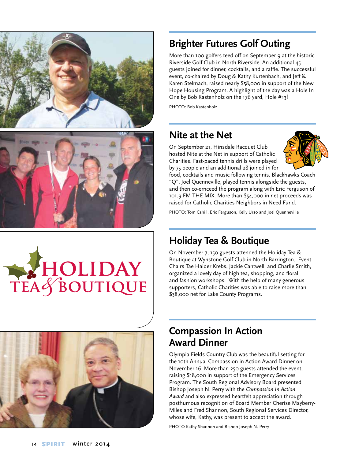



# HOLIDAY<br>TEAS BOUTIQUE



## **Brighter Futures Golf Outing**

More than 100 golfers teed off on September 9 at the historic Riverside Golf Club in North Riverside. An additional 45 guests joined for dinner, cocktails, and a raffle. The successful event, co-chaired by Doug & Kathy Kurtenbach, and Jeff & Karen Stelmach, raised nearly \$58,000 in support of the New Hope Housing Program. A highlight of the day was a Hole In One by Bob Kastenholz on the 176 yard, Hole #13!

PHOTO: Bob Kastenholz

## **Nite at the Net**

On September 21, Hinsdale Racquet Club hosted Nite at the Net in support of Catholic Charities. Fast-paced tennis drills were played by 75 people and an additional 28 joined in for



food, cocktails and music following tennis. Blackhawks Coach "Q", Joel Quenneville, played tennis alongside the guests, and then co-emceed the program along with Eric Ferguson of 101.9 FM THE MIX. More than \$54,000 in net proceeds was raised for Catholic Charities Neighbors in Need Fund.

PHOTO: Tom Cahill, Eric Ferguson, Kelly Urso and Joel Quenneville

## **Holiday Tea & Boutique**

On November 7, 150 guests attended the Holiday Tea & Boutique at Wynstone Golf Club in North Barrington. Event Chairs Tae Haider Krebs, Jackie Cantwell, and Charlie Smith, organized a lovely day of high tea, shopping, and floral and fashion workshops. With the help of many generous supporters, Catholic Charities was able to raise more than \$38,000 net for Lake County Programs.

## **Compassion In Action Award Dinner**

Olympia Fields Country Club was the beautiful setting for the 10th Annual Compassion in Action Award Dinner on November 16. More than 250 guests attended the event, raising \$18,000 in support of the Emergency Services Program. The South Regional Advisory Board presented Bishop Joseph N. Perry with the *Compassion In Action Award* and also expressed heartfelt appreciation through posthumous recognition of Board Member Cherise Mayberry-Miles and Fred Shannon, South Regional Services Director, whose wife, Kathy, was present to accept the award.

PHOTO Kathy Shannon and Bishop Joseph N. Perry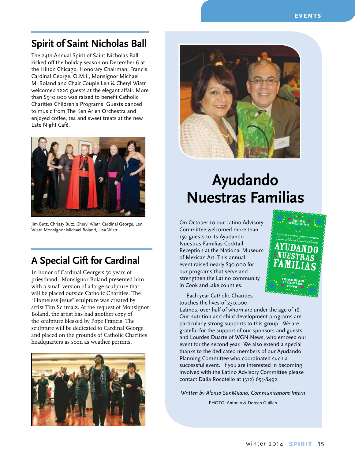## **Spirit of Saint Nicholas Ball**

The 24th Annual Spirit of Saint Nicholas Ball kicked-off the holiday season on December 6 at the Hilton Chicago. Honorary Chairman, Francis Cardinal George, O.M.I., Monsignor Michael M. Boland and Chair Couple Len & Cheryl Wiatr welcomed 1220 guests at the elegant affair. More than \$910,000 was raised to benefit Catholic Charities Children's Programs. Guests danced to music from The Ken Arlen Orchestra and enjoyed coffee, tea and sweet treats at the new Late Night Café.



Jim Butz, Chrissy Butz, Cheryl Wiatr, Cardinal George, Len Wiatr, Monsignor Michael Boland, Lisa Wiatr

## **A Special Gift for Cardinal**

In honor of Cardinal George's 50 years of priesthood, Monsignor Boland presented him with a small version of a large sculpture that will be placed outside Catholic Charities. The "Homeless Jesus" sculpture was created by artist Tim Schmalz. At the request of Monsignor Boland, the artist has had another copy of the sculpture blessed by Pope Francis. The sculpture will be dedicated to Cardinal George and placed on the grounds of Catholic Charities headquarters as soon as weather permits.





# **Ayudando Nuestras Familias**

On October 10 our Latino Advisory Committee welcomed more than 150 guests to its Ayudando Nuestras Familias Cocktail Reception at the National Museum of Mexican Art. This annual event raised nearly \$30,000 for  $our$  programs that serve and strengthen the Latino community in Cook andLake counties. ktail luseu  $\overline{\phantom{a}}$ 

Each year Catholic Charities touches the lives of 230,000

Latinos; over half of whom are under the age of 18. Our nutrition and child development programs are particularly strong supports to this group. We are grateful for the support of our sponsors and guests and Lourdes Duarte of WGN News, who emceed our event for the second year. We also extend a special thanks to the dedicated members of our Ayudando Planning Committee who coordinated such a successful event. If you are interested in becoming involved with the Latino Advisory Committee please contact Dalia Rocotello at (312) 655-8492.

*Written by Alonso SanMilano, Communications Intern* PHOTO: Antonio & Doreen Guillen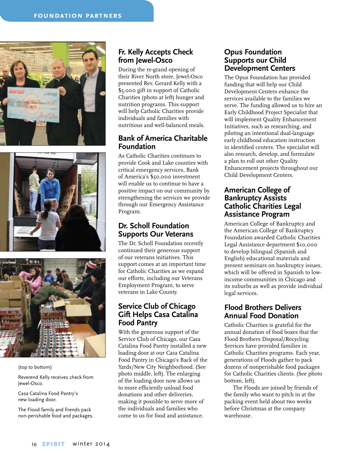





(top to bottom)

Reverend Kelly receives check from Jewel-Osco.

Casa Catalina Food Pantry's new loading door.

The Flood family and friends pack non-perishable food and packages.

## **Fr. Kelly Accepts Check from Jewel-Osco**

During the re-grand opening of their River North store, Jewel-Osco presented Rev. Gerard Kelly with a \$5,000 gift in support of Catholic Charities (photo at left) hunger and nutrition programs. This support will help Catholic Charities provide individuals and families with nutritious and well-balanced meals.

## **Bank of America Charitable Foundation**

As Catholic Charities continues to provide Cook and Lake counties with critical emergency services, Bank of America's \$50,000 investment will enable us to continue to have a positive impact on our community by strengthening the services we provide through our Emergency Assistance Program.

## **Dr. Scholl Foundation Supports Our Veterans**

The Dr. Scholl Foundation recently continued their generous support of our veterans initiatives. This support comes at an important time for Catholic Charities as we expand our efforts, including our Veterans Employment Program, to serve veterans in Lake County.

## **Service Club of Chicago Gift Helps Casa Catalina Food Pantry**

With the generous support of the Service Club of Chicago, our Casa Catalina Food Pantry installed a new loading door at our Casa Catalina Food Pantry in Chicago's Back of the Yards/New City Neighborhood. (See photo middle, left). The enlarging of the loading door now allows us to more efficiently unload food donations and other deliveries, making it possible to serve more of the individuals and families who come to us for food and assistance.

## **Opus Foundation Supports our Child Development Centers**

The Opus Foundation has provided funding that will help our Child Development Centers enhance the services available to the families we serve. The funding allowed us to hire an Early Childhood Project Specialist that will implement Quality Enhancement Initiatives, such as researching, and piloting an intentional dual-language early childhood education instruction in identified centers. The specialist will also research, develop, and formulate a plan to roll out other Quality Enhancement projects throughout our Child Development Centers.

## **American College of Bankruptcy Assists Catholic Charities Legal Assistance Program**

American College of Bankruptcy and the American College of Bankruptcy Foundation awarded Catholic Charities Legal Assistance department \$10,000 to develop bilingual (Spanish and English) educational materials and present seminars on bankruptcy issues, which will be offered in Spanish to lowincome communities in Chicago and its suburbs as well as provide individual legal services.

## **Flood Brothers Delivers Annual Food Donation**

Catholic Charities is grateful for the annual donation of food boxes that the Flood Brothers Disposal/Recycling Services have provided families in Catholic Charities programs. Each year, generations of Floods gather to pack dozens of nonperishable food packages for Catholic Charities clients. (See photo bottom, left).

The Floods are joined by friends of the family who want to pitch in at the packing event held about two weeks before Christmas at the company warehouse.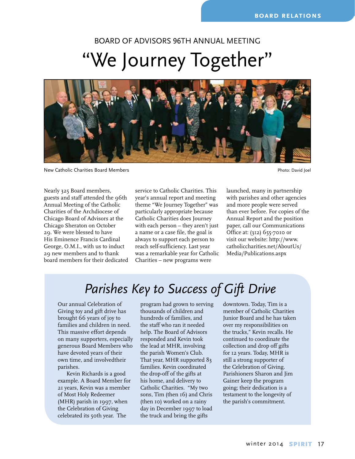# Board of Advisors 96th Annual Meeting "We Journey Together"



New Catholic Charities Board Members Photo: David Joel

Nearly 325 Board members, guests and staff attended the 96th Annual Meeting of the Catholic Charities of the Archdiocese of Chicago Board of Advisors at the Chicago Sheraton on October 29. We were blessed to have His Eminence Francis Cardinal George, O.M.I., with us to induct 29 new members and to thank board members for their dedicated service to Catholic Charities. This year's annual report and meeting theme "We Journey Together" was particularly appropriate because Catholic Charities does Journey with each person – they aren't just a name or a case file, the goal is always to support each person to reach self-sufficiency. Last year was a remarkable year for Catholic Charities – new programs were

launched, many in partnership with parishes and other agencies and more people were served than ever before. For copies of the Annual Report and the position paper, call our Communications Office at: (312) 655-7010 or visit our website: http://www. catholiccharities.net/AboutUs/ Media/Publications.aspx

## *Parishes Key to Success of Gift Drive*

Our annual Celebration of Giving toy and gift drive has brought 66 years of joy to families and children in need. This massive effort depends on many supporters, especially generous Board Members who have devoted years of their own time, and involvedtheir parishes.

Kevin Richards is a good example. A Board Member for 21 years, Kevin was a member of Most Holy Redeemer (MHR) parish in 1997, when the Celebration of Giving celebrated its 50th year. The

program had grown to serving thousands of children and hundreds of families, and the staff who ran it needed help. The Board of Advisors responded and Kevin took the lead at MHR, involving the parish Women's Club. That year, MHR supported 83 families. Kevin coordinated the drop-off of the gifts at his home, and delivery to Catholic Charities. "My two sons, Tim (then 16) and Chris (then 10) worked on a rainy day in December 1997 to load the truck and bring the gifts

downtown. Today, Tim is a member of Catholic Charities Junior Board and he has taken over my responsibilities on the trucks," Kevin recalls. He continued to coordinate the collection and drop off gifts for 12 years. Today, MHR is still a strong supporter of the Celebration of Giving. Parishioners Sharon and Jim Gainer keep the program going; their dedication is a testament to the longevity of the parish's commitment.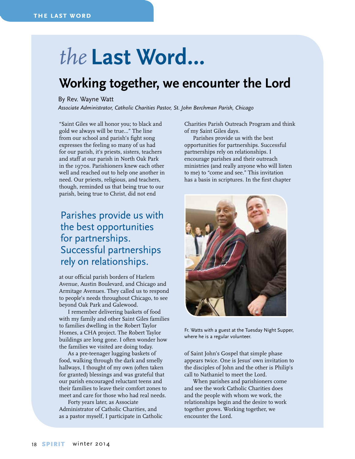# *the* **Last Word…**

## **Working together, we encounter the Lord**

#### By Rev. Wayne Watt

*Associate Administrator, Catholic Charities Pastor, St. John Berchman Parish, Chicago*

"Saint Giles we all honor you; to black and gold we always will be true…" The line from our school and parish's fight song expresses the feeling so many of us had for our parish, it's priests, sisters, teachers and staff at our parish in North Oak Park in the 1970s. Parishioners knew each other well and reached out to help one another in need. Our priests, religious, and teachers, though, reminded us that being true to our parish, being true to Christ, did not end

## Parishes provide us with the best opportunities for partnerships. Successful partnerships rely on relationships.

at our official parish borders of Harlem Avenue, Austin Boulevard, and Chicago and Armitage Avenues. They called us to respond to people's needs throughout Chicago, to see beyond Oak Park and Galewood.

I remember delivering baskets of food with my family and other Saint Giles families to families dwelling in the Robert Taylor Homes, a CHA project. The Robert Taylor buildings are long gone. I often wonder how the families we visited are doing today.

As a pre-teenager lugging baskets of food, walking through the dark and smelly hallways, I thought of my own (often taken for granted) blessings and was grateful that our parish encouraged reluctant teens and their families to leave their comfort zones to meet and care for those who had real needs.

Forty years later, as Associate Administrator of Catholic Charities, and as a pastor myself, I participate in Catholic Charities Parish Outreach Program and think of my Saint Giles days.

Parishes provide us with the best opportunities for partnerships. Successful partnerships rely on relationships. I encourage parishes and their outreach ministries (and really anyone who will listen to me) to "come and see." This invitation has a basis in scriptures. In the first chapter



Fr. Watts with a guest at the Tuesday Night Supper, where he is a regular volunteer.

of Saint John's Gospel that simple phase appears twice. One is Jesus' own invitation to the disciples of John and the other is Philip's call to Nathaniel to meet the Lord.

When parishes and parishioners come and see the work Catholic Charities does and the people with whom we work, the relationships begin and the desire to work together grows. Working together, we encounter the Lord.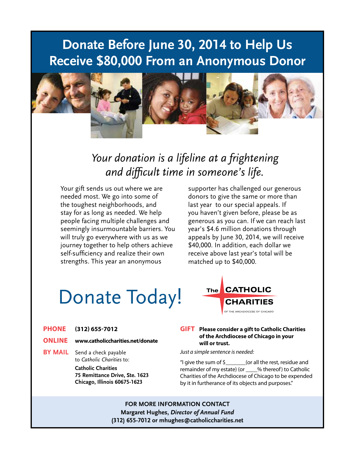## **Donate Before June 30, 2014 to Help Us Receive \$80,000 From an Anonymous Donor**



## *Your donation is a lifeline at a frightening and difficult time in someone's life.*

Your gift sends us out where we are needed most. We go into some of the toughest neighborhoods, and stay for as long as needed. We help people facing multiple challenges and seemingly insurmountable barriers. You will truly go everywhere with us as we journey together to help others achieve self-sufficiency and realize their own strengths. This year an anonymous

supporter has challenged our generous donors to give the same or more than last year to our special appeals. If you haven't given before, please be as generous as you can. If we can reach last year's \$4.6 million donations through appeals by June 30, 2014, we will receive \$40,000. In addition, each dollar we receive above last year's total will be matched up to \$40,000.

# Donate Today!

- **Phone (312) 655-7012**
- **Online www.catholiccharities.net/donate**
- **BY MAIL** Send a check payable to *Catholic Charities* to:

**Catholic Charities 75 Remittance Drive, Ste. 1623 Chicago, Illinois 60675-1623**



#### **Gift Please consider a gift to Catholic Charities of the Archdiocese of Chicago in your will or trust.**

*Just a simple sentence is needed:*

"I give the sum of  $\frac{1}{2}$  (or all the rest, residue and remainder of my estate) (or \_\_\_\_% thereof) to Catholic Charities of the Archdiocese of Chicago to be expended by it in furtherance of its objects and purposes."

**for more information Contact Margaret Hughes,** *Director of Annual Fund* **(312) 655-7012 or mhughes@catholiccharities.net**